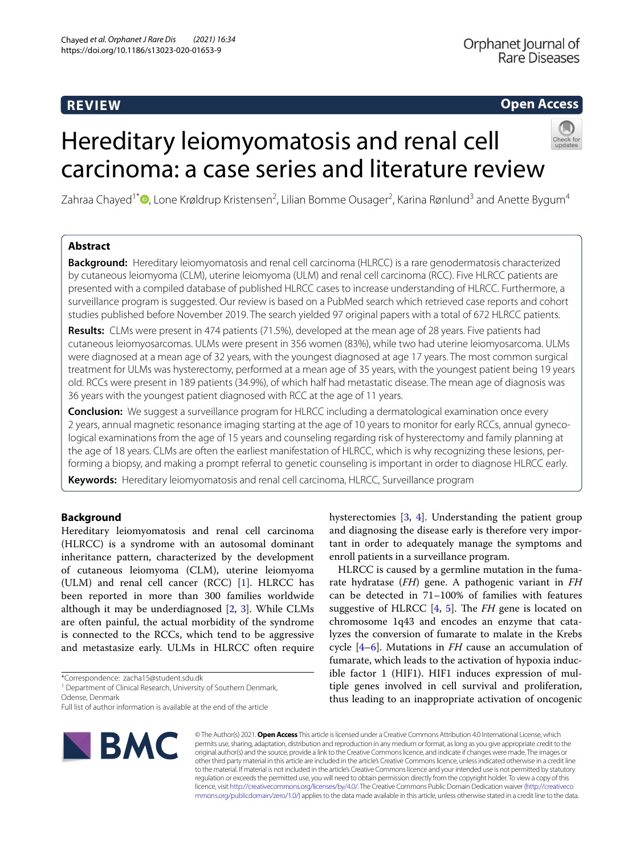## **REVIEW**

## **Open Access**

# Hereditary leiomyomatosis and renal cell carcinoma: a case series and literature review



Zahraa Chayed<sup>1\*</sup>®[,](http://orcid.org/0000-0001-6526-1867) Lone Krøldrup Kristensen<sup>2</sup>, Lilian Bomme Ousager<sup>2</sup>, Karina Rønlund<sup>3</sup> and Anette Bygum<sup>4</sup>

## **Abstract**

**Background:** Hereditary leiomyomatosis and renal cell carcinoma (HLRCC) is a rare genodermatosis characterized by cutaneous leiomyoma (CLM), uterine leiomyoma (ULM) and renal cell carcinoma (RCC). Five HLRCC patients are presented with a compiled database of published HLRCC cases to increase understanding of HLRCC. Furthermore, a surveillance program is suggested. Our review is based on a PubMed search which retrieved case reports and cohort studies published before November 2019. The search yielded 97 original papers with a total of 672 HLRCC patients.

**Results:** CLMs were present in 474 patients (71.5%), developed at the mean age of 28 years. Five patients had cutaneous leiomyosarcomas. ULMs were present in 356 women (83%), while two had uterine leiomyosarcoma. ULMs were diagnosed at a mean age of 32 years, with the youngest diagnosed at age 17 years. The most common surgical treatment for ULMs was hysterectomy, performed at a mean age of 35 years, with the youngest patient being 19 years old. RCCs were present in 189 patients (34.9%), of which half had metastatic disease. The mean age of diagnosis was 36 years with the youngest patient diagnosed with RCC at the age of 11 years.

**Conclusion:** We suggest a surveillance program for HLRCC including a dermatological examination once every 2 years, annual magnetic resonance imaging starting at the age of 10 years to monitor for early RCCs, annual gynecological examinations from the age of 15 years and counseling regarding risk of hysterectomy and family planning at the age of 18 years. CLMs are often the earliest manifestation of HLRCC, which is why recognizing these lesions, performing a biopsy, and making a prompt referral to genetic counseling is important in order to diagnose HLRCC early.

**Keywords:** Hereditary leiomyomatosis and renal cell carcinoma, HLRCC, Surveillance program

## **Background**

Hereditary leiomyomatosis and renal cell carcinoma (HLRCC) is a syndrome with an autosomal dominant inheritance pattern, characterized by the development of cutaneous leiomyoma (CLM), uterine leiomyoma (ULM) and renal cell cancer (RCC) [[1\]](#page-7-0). HLRCC has been reported in more than 300 families worldwide although it may be underdiagnosed [\[2,](#page-7-1) [3\]](#page-7-2). While CLMs are often painful, the actual morbidity of the syndrome is connected to the RCCs, which tend to be aggressive and metastasize early. ULMs in HLRCC often require

\*Correspondence: zacha15@student.sdu.dk

<sup>1</sup> Department of Clinical Research, University of Southern Denmark, Odense, Denmark

Full list of author information is available at the end of the article



hysterectomies [[3](#page-7-2), [4\]](#page-7-3). Understanding the patient group and diagnosing the disease early is therefore very important in order to adequately manage the symptoms and enroll patients in a surveillance program.

HLRCC is caused by a germline mutation in the fumarate hydratase (*FH*) gene. A pathogenic variant in *FH* can be detected in 71–100% of families with features suggestive of HLRCC [\[4](#page-7-3), [5](#page-7-4)]. The *FH* gene is located on chromosome 1q43 and encodes an enzyme that catalyzes the conversion of fumarate to malate in the Krebs cycle [\[4](#page-7-3)[–6\]](#page-7-5). Mutations in *FH* cause an accumulation of fumarate, which leads to the activation of hypoxia inducible factor 1 (HIF1). HIF1 induces expression of multiple genes involved in cell survival and proliferation, thus leading to an inappropriate activation of oncogenic

© The Author(s) 2021. **Open Access** This article is licensed under a Creative Commons Attribution 4.0 International License, which permits use, sharing, adaptation, distribution and reproduction in any medium or format, as long as you give appropriate credit to the original author(s) and the source, provide a link to the Creative Commons licence, and indicate if changes were made. The images or other third party material in this article are included in the article's Creative Commons licence, unless indicated otherwise in a credit line to the material. If material is not included in the article's Creative Commons licence and your intended use is not permitted by statutory regulation or exceeds the permitted use, you will need to obtain permission directly from the copyright holder. To view a copy of this licence, visit [http://creativecommons.org/licenses/by/4.0/.](http://creativecommons.org/licenses/by/4.0/) The Creative Commons Public Domain Dedication waiver ([http://creativeco](http://creativecommons.org/publicdomain/zero/1.0/) [mmons.org/publicdomain/zero/1.0/](http://creativecommons.org/publicdomain/zero/1.0/)) applies to the data made available in this article, unless otherwise stated in a credit line to the data.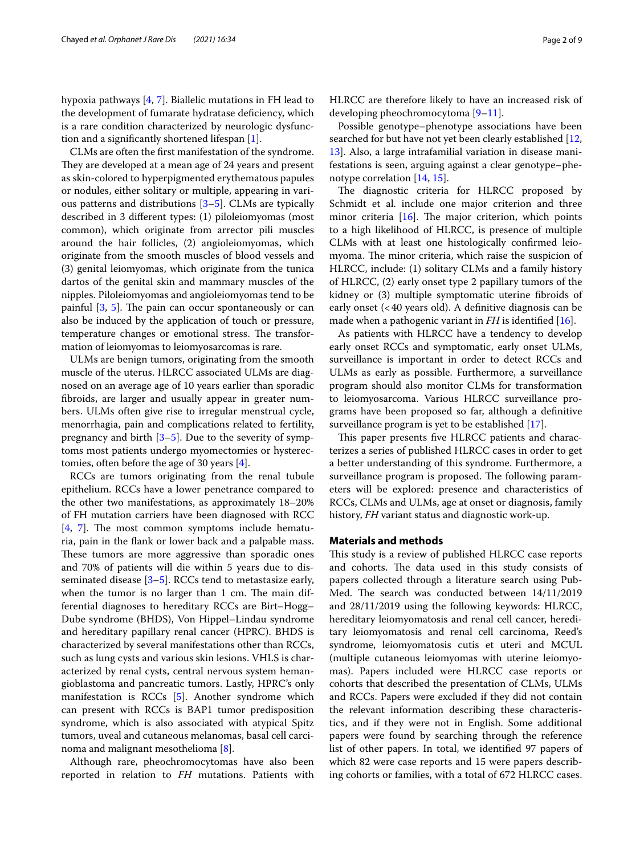hypoxia pathways [\[4](#page-7-3), [7\]](#page-7-6). Biallelic mutations in FH lead to the development of fumarate hydratase defciency, which is a rare condition characterized by neurologic dysfunction and a signifcantly shortened lifespan [[1\]](#page-7-0).

CLMs are often the frst manifestation of the syndrome. They are developed at a mean age of 24 years and present as skin-colored to hyperpigmented erythematous papules or nodules, either solitary or multiple, appearing in various patterns and distributions [[3–](#page-7-2)[5](#page-7-4)]. CLMs are typically described in 3 diferent types: (1) piloleiomyomas (most common), which originate from arrector pili muscles around the hair follicles, (2) angioleiomyomas, which originate from the smooth muscles of blood vessels and (3) genital leiomyomas, which originate from the tunica dartos of the genital skin and mammary muscles of the nipples. Piloleiomyomas and angioleiomyomas tend to be painful  $[3, 5]$  $[3, 5]$  $[3, 5]$ . The pain can occur spontaneously or can also be induced by the application of touch or pressure, temperature changes or emotional stress. The transformation of leiomyomas to leiomyosarcomas is rare.

ULMs are benign tumors, originating from the smooth muscle of the uterus. HLRCC associated ULMs are diagnosed on an average age of 10 years earlier than sporadic fbroids, are larger and usually appear in greater numbers. ULMs often give rise to irregular menstrual cycle, menorrhagia, pain and complications related to fertility, pregnancy and birth  $[3-5]$  $[3-5]$ . Due to the severity of symptoms most patients undergo myomectomies or hysterectomies, often before the age of 30 years [\[4](#page-7-3)].

RCCs are tumors originating from the renal tubule epithelium. RCCs have a lower penetrance compared to the other two manifestations, as approximately 18–20% of FH mutation carriers have been diagnosed with RCC  $[4, 7]$  $[4, 7]$  $[4, 7]$  $[4, 7]$ . The most common symptoms include hematuria, pain in the fank or lower back and a palpable mass. These tumors are more aggressive than sporadic ones and 70% of patients will die within 5 years due to disseminated disease  $[3-5]$  $[3-5]$  $[3-5]$ . RCCs tend to metastasize early, when the tumor is no larger than 1 cm. The main differential diagnoses to hereditary RCCs are Birt–Hogg– Dube syndrome (BHDS), Von Hippel–Lindau syndrome and hereditary papillary renal cancer (HPRC). BHDS is characterized by several manifestations other than RCCs, such as lung cysts and various skin lesions. VHLS is characterized by renal cysts, central nervous system hemangioblastoma and pancreatic tumors. Lastly, HPRC's only manifestation is RCCs [\[5](#page-7-4)]. Another syndrome which can present with RCCs is BAP1 tumor predisposition syndrome, which is also associated with atypical Spitz tumors, uveal and cutaneous melanomas, basal cell carcinoma and malignant mesothelioma [[8](#page-7-7)].

Although rare, pheochromocytomas have also been reported in relation to *FH* mutations. Patients with HLRCC are therefore likely to have an increased risk of developing pheochromocytoma [\[9](#page-7-8)[–11\]](#page-7-9).

Possible genotype–phenotype associations have been searched for but have not yet been clearly established [[12](#page-7-10), [13\]](#page-7-11). Also, a large intrafamilial variation in disease manifestations is seen, arguing against a clear genotype–phenotype correlation [[14,](#page-7-12) [15\]](#page-7-13).

The diagnostic criteria for HLRCC proposed by Schmidt et al. include one major criterion and three minor criteria  $[16]$ . The major criterion, which points to a high likelihood of HLRCC, is presence of multiple CLMs with at least one histologically confrmed leiomyoma. The minor criteria, which raise the suspicion of HLRCC, include: (1) solitary CLMs and a family history of HLRCC, (2) early onset type 2 papillary tumors of the kidney or (3) multiple symptomatic uterine fbroids of early onset (<40 years old). A defnitive diagnosis can be made when a pathogenic variant in *FH* is identifed [[16\]](#page-7-14).

As patients with HLRCC have a tendency to develop early onset RCCs and symptomatic, early onset ULMs, surveillance is important in order to detect RCCs and ULMs as early as possible. Furthermore, a surveillance program should also monitor CLMs for transformation to leiomyosarcoma. Various HLRCC surveillance programs have been proposed so far, although a defnitive surveillance program is yet to be established [\[17](#page-7-15)].

This paper presents five HLRCC patients and characterizes a series of published HLRCC cases in order to get a better understanding of this syndrome. Furthermore, a surveillance program is proposed. The following parameters will be explored: presence and characteristics of RCCs, CLMs and ULMs, age at onset or diagnosis, family history, *FH* variant status and diagnostic work-up.

#### **Materials and methods**

This study is a review of published HLRCC case reports and cohorts. The data used in this study consists of papers collected through a literature search using Pub-Med. The search was conducted between  $14/11/2019$ and 28/11/2019 using the following keywords: HLRCC, hereditary leiomyomatosis and renal cell cancer, hereditary leiomyomatosis and renal cell carcinoma, Reed's syndrome, leiomyomatosis cutis et uteri and MCUL (multiple cutaneous leiomyomas with uterine leiomyomas). Papers included were HLRCC case reports or cohorts that described the presentation of CLMs, ULMs and RCCs. Papers were excluded if they did not contain the relevant information describing these characteristics, and if they were not in English. Some additional papers were found by searching through the reference list of other papers. In total, we identifed 97 papers of which 82 were case reports and 15 were papers describing cohorts or families, with a total of 672 HLRCC cases.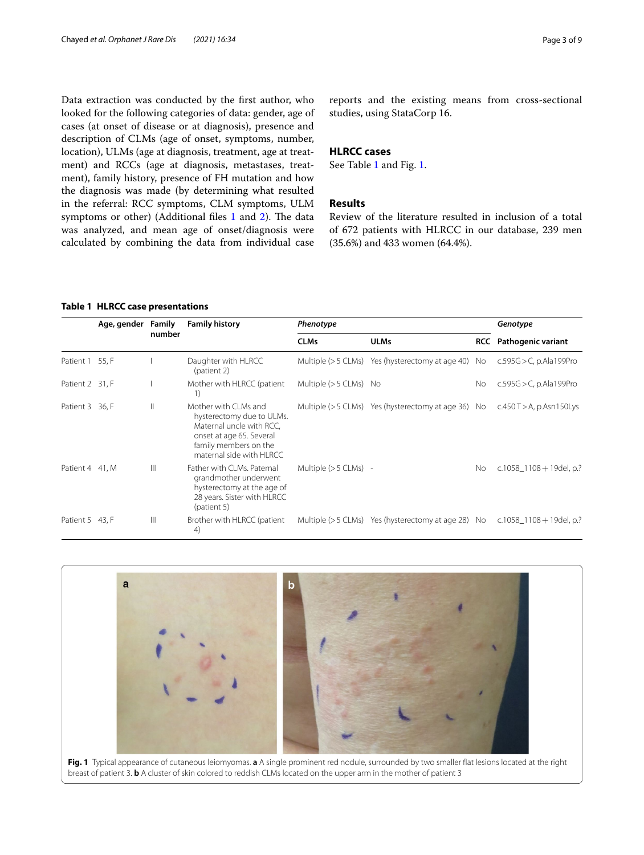Data extraction was conducted by the frst author, who looked for the following categories of data: gender, age of cases (at onset of disease or at diagnosis), presence and description of CLMs (age of onset, symptoms, number, location), ULMs (age at diagnosis, treatment, age at treatment) and RCCs (age at diagnosis, metastases, treatment), family history, presence of FH mutation and how the diagnosis was made (by determining what resulted in the referral: RCC symptoms, CLM symptoms, ULM symptoms or other) (Additional files [1](#page-7-16) and [2](#page-7-17)). The data was analyzed, and mean age of onset/diagnosis were calculated by combining the data from individual case reports and the existing means from cross-sectional studies, using StataCorp 16.

## **HLRCC cases**

See Table [1](#page-2-0) and Fig. [1](#page-2-1).

## **Results**

Review of the literature resulted in inclusion of a total of 672 patients with HLRCC in our database, 239 men (35.6%) and 433 women (64.4%).

#### <span id="page-2-0"></span>**Table 1 HLRCC case presentations**

|                 | Age, gender Family | number       | <b>Family history</b>                                                                                                                                          | Phenotype               |                                                        |            | Genotype                        |  |
|-----------------|--------------------|--------------|----------------------------------------------------------------------------------------------------------------------------------------------------------------|-------------------------|--------------------------------------------------------|------------|---------------------------------|--|
|                 |                    |              |                                                                                                                                                                | <b>CLMs</b>             | <b>ULMs</b>                                            | <b>RCC</b> | Pathogenic variant              |  |
| Patient 1 55, F |                    |              | Daughter with HLRCC<br>(patient 2)                                                                                                                             |                         | Multiple $(>5$ CLMs) Yes (hysterectomy at age 40)      | No         | $c.595G > C$ , p.Ala199Pro      |  |
| Patient 2 31, F |                    |              | Mother with HLRCC (patient<br>1)                                                                                                                               | Multiple $(>5$ CLMs) No |                                                        | No.        | $c.595G > C$ , p.Ala199Pro      |  |
| Patient 3 36, F |                    | $\mathbb{I}$ | Mother with CLMs and<br>hysterectomy due to ULMs.<br>Maternal uncle with RCC,<br>onset at age 65. Several<br>family members on the<br>maternal side with HLRCC |                         | Multiple ( $>$ 5 CLMs) Yes (hysterectomy at age 36) No |            | $c.450$ T $>$ A, p. Asn 150 Lys |  |
| Patient 4 41. M |                    | $\mathbb{H}$ | Father with CLMs. Paternal<br>grandmother underwent<br>hysterectomy at the age of<br>28 years. Sister with HLRCC<br>(patient 5)                                | Multiple $(>5$ CLMs) -  |                                                        | No.        | c.1058 $1108 + 19$ del, p.?     |  |
| Patient 5 43, F |                    | $\mathbb{H}$ | Brother with HLRCC (patient<br>4)                                                                                                                              |                         | Multiple ( $>$ 5 CLMs) Yes (hysterectomy at age 28) No |            | c.1058 $1108 + 19$ del, p.?     |  |

<span id="page-2-1"></span>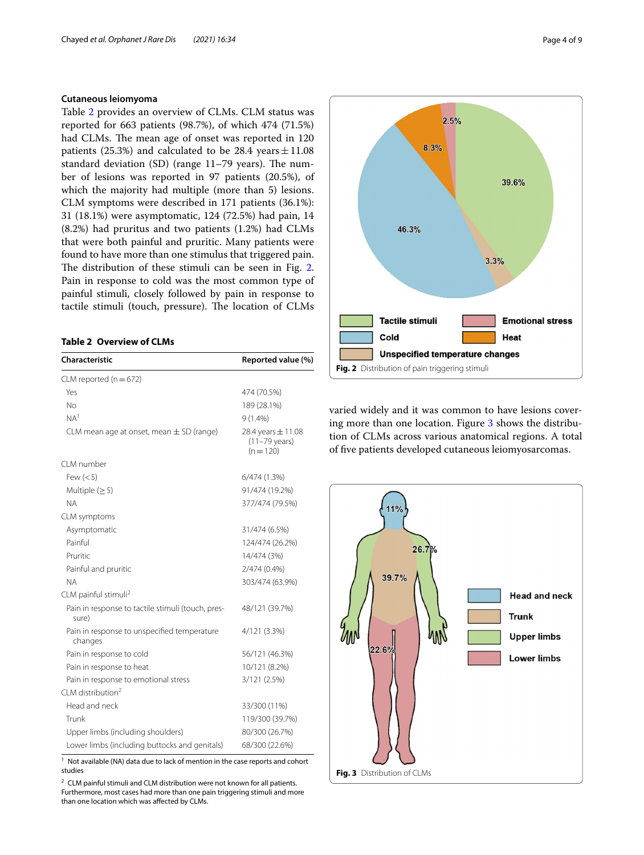## **Cutaneous leiomyoma**

Table [2](#page-3-0) provides an overview of CLMs. CLM status was reported for 663 patients (98.7%), of which 474 (71.5%) had CLMs. The mean age of onset was reported in 120 patients (25.3%) and calculated to be 28.4  $\text{years} \pm 11.08$ standard deviation (SD) (range  $11-79$  years). The number of lesions was reported in 97 patients (20.5%), of which the majority had multiple (more than 5) lesions. CLM symptoms were described in 171 patients (36.1%): 31 (18.1%) were asymptomatic, 124 (72.5%) had pain, 14 (8.2%) had pruritus and two patients (1.2%) had CLMs that were both painful and pruritic. Many patients were found to have more than one stimulus that triggered pain. The distribution of these stimuli can be seen in Fig. [2](#page-3-1). Pain in response to cold was the most common type of painful stimuli, closely followed by pain in response to tactile stimuli (touch, pressure). The location of CLMs

### <span id="page-3-0"></span>**Table 2 Overview of CLMs**

| Characteristic                                             | Reported value (%)                                   |  |  |
|------------------------------------------------------------|------------------------------------------------------|--|--|
| CLM reported ( $n = 672$ )                                 |                                                      |  |  |
| Yes                                                        | 474 (70.5%)                                          |  |  |
| No                                                         | 189 (28.1%)                                          |  |  |
| NA <sup>1</sup>                                            | $9(1.4\%)$                                           |  |  |
| CLM mean age at onset, mean $\pm$ SD (range)               | 28.4 years $\pm$ 11.08<br>(11-79 years)<br>$(n=120)$ |  |  |
| CI M number                                                |                                                      |  |  |
| Few $(< 5)$                                                | 6/474 (1.3%)                                         |  |  |
| Multiple $(≥ 5)$                                           | 91/474 (19.2%)                                       |  |  |
| <b>NA</b>                                                  | 377/474 (79.5%)                                      |  |  |
| CLM symptoms                                               |                                                      |  |  |
| Asymptomatic                                               | 31/474 (6.5%)                                        |  |  |
| Painful                                                    | 124/474 (26.2%)                                      |  |  |
| Pruritic                                                   | 14/474 (3%)                                          |  |  |
| Painful and pruritic                                       | 2/474 (0.4%)                                         |  |  |
| <b>NA</b>                                                  | 303/474 (63.9%)                                      |  |  |
| CLM painful stimuli <sup>2</sup>                           |                                                      |  |  |
| Pain in response to tactile stimuli (touch, pres-<br>sure) | 48/121 (39.7%)                                       |  |  |
| Pain in response to unspecified temperature<br>changes     | 4/121 (3.3%)                                         |  |  |
| Pain in response to cold                                   | 56/121 (46.3%)                                       |  |  |
| Pain in response to heat                                   | 10/121 (8.2%)                                        |  |  |
| Pain in response to emotional stress                       | 3/121 (2.5%)                                         |  |  |
| CLM distribution <sup>2</sup>                              |                                                      |  |  |
| Head and neck                                              | 33/300 (11%)                                         |  |  |
| Trunk                                                      | 119/300 (39.7%)                                      |  |  |
| Upper limbs (including shoulders)                          | 80/300 (26.7%)                                       |  |  |
| Lower limbs (including buttocks and genitals)              | 68/300 (22.6%)                                       |  |  |

 $1$  Not available (NA) data due to lack of mention in the case reports and cohort studies

<span id="page-3-2"></span> $2$  CLM painful stimuli and CLM distribution were not known for all patients. Furthermore, most cases had more than one pain triggering stimuli and more than one location which was afected by CLMs.



<span id="page-3-1"></span>varied widely and it was common to have lesions covering more than one location. Figure [3](#page-3-2) shows the distribution of CLMs across various anatomical regions. A total of fve patients developed cutaneous leiomyosarcomas.

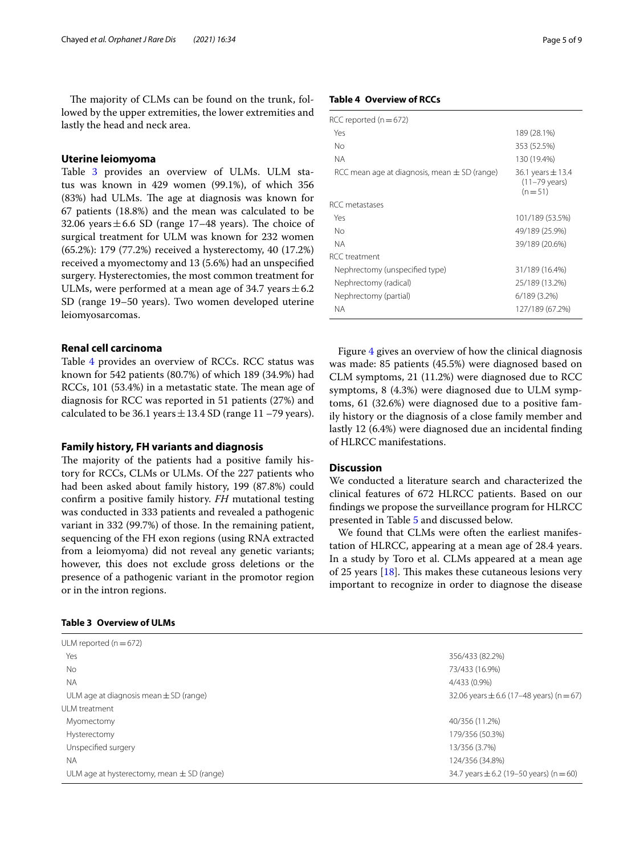The majority of CLMs can be found on the trunk, followed by the upper extremities, the lower extremities and lastly the head and neck area.

## **Uterine leiomyoma**

Table [3](#page-4-0) provides an overview of ULMs. ULM status was known in 429 women (99.1%), of which 356 (83%) had ULMs. The age at diagnosis was known for 67 patients (18.8%) and the mean was calculated to be 32.06 years  $\pm$  6.6 SD (range 17–48 years). The choice of surgical treatment for ULM was known for 232 women (65.2%): 179 (77.2%) received a hysterectomy, 40 (17.2%) received a myomectomy and 13 (5.6%) had an unspecifed surgery. Hysterectomies, the most common treatment for ULMs, were performed at a mean age of 34.7 years  $\pm$  6.2 SD (range 19–50 years). Two women developed uterine leiomyosarcomas.

## **Renal cell carcinoma**

Table [4](#page-4-1) provides an overview of known for 542 patients  $(80.7%)$  of RCCs,  $101$  (53.4%) in a metastati diagnosis for RCC was reported in 51 patients (27%) and calculated to be 36.1 years  $\pm$  13.4 SD (range 11 –79 years).

### **Family history, FH variants and diagnosis**

The majority of the patients had a positive family history for RCCs, CLMs or ULMs. Of the 227 patients who had been asked about family history, 199 (87.8%) could confrm a positive family history. *FH* mutational testing was conducted in 333 patients and revealed a pathogenic variant in 332 (99.7%) of those. In the remaining patient, sequencing of the FH exon regions (using RNA extracted from a leiomyoma) did not reveal any genetic variants; however, this does not exclude gross deletions or the presence of a pathogenic variant in the promotor region or in the intron regions.

## <span id="page-4-0"></span>**Table 3 Overview of ULMs**

|                          | Figure 4 gives an overview of how the clinical diagnosis              |
|--------------------------|-----------------------------------------------------------------------|
| RCCs. RCC status was     | was made: 85 patients (45.5%) were diagnosed based on                 |
| f which 189 (34.9%) had  | CLM symptoms, 21 (11.2%) were diagnosed due to RCC                    |
| c state. The mean age of | symptoms, 8 (4.3%) were diagnosed due to ULM symp-                    |
| in 51 natients (27%) and | $t_{\text{max}}$ (1 (99.60) $1: \ldots 1$ $1: \ldots 1$ $1: \ldots 1$ |

due to ULM symptoms, 61 (32.6%) were diagnosed due to a positive family history or the diagnosis of a close family member and lastly 12 (6.4%) were diagnosed due an incidental fnding of HLRCC manifestations.

## **Discussion**

We conducted a literature search and characterized the clinical features of 672 HLRCC patients. Based on our fndings we propose the surveillance program for HLRCC presented in Table [5](#page-5-1) and discussed below.

We found that CLMs were often the earliest manifestation of HLRCC, appearing at a mean age of 28.4 years. In a study by Toro et al. CLMs appeared at a mean age of 25 years  $[18]$  $[18]$ . This makes these cutaneous lesions very important to recognize in order to diagnose the disease

| ULM reported ( $n = 672$ )                     |                                              |
|------------------------------------------------|----------------------------------------------|
| Yes                                            | 356/433 (82.2%)                              |
| <b>No</b>                                      | 73/433 (16.9%)                               |
| <b>NA</b>                                      | 4/433 (0.9%)                                 |
| ULM age at diagnosis mean $\pm$ SD (range)     | 32.06 years $\pm$ 6.6 (17–48 years) (n = 67) |
| ULM treatment                                  |                                              |
| Myomectomy                                     | 40/356 (11.2%)                               |
| Hysterectomy                                   | 179/356 (50.3%)                              |
| Unspecified surgery                            | 13/356 (3.7%)                                |
| <b>NA</b>                                      | 124/356 (34.8%)                              |
| ULM age at hysterectomy, mean $\pm$ SD (range) | 34.7 years $\pm$ 6.2 (19–50 years) (n = 60)  |

## <span id="page-4-1"></span>**Table 4 Overview of RCCs**

| RCC reported (n $=$ 672)                         |                                                              |
|--------------------------------------------------|--------------------------------------------------------------|
| Yes                                              | 189 (28.1%)                                                  |
| Nο                                               | 353 (52.5%)                                                  |
| <b>NA</b>                                        | 130 (19.4%)                                                  |
| RCC mean age at diagnosis, mean $\pm$ SD (range) | 36.1 years $\pm$ 13.4<br>$(11-79 \text{ years})$<br>$(n=51)$ |
| RCC metastases                                   |                                                              |
| Yes                                              | 101/189 (53.5%)                                              |
| No                                               | 49/189 (25.9%)                                               |
| <b>NA</b>                                        | 39/189 (20.6%)                                               |
| RCC treatment                                    |                                                              |
| Nephrectomy (unspecified type)                   | 31/189 (16.4%)                                               |
| Nephrectomy (radical)                            | 25/189 (13.2%)                                               |
| Nephrectomy (partial)                            | $6/189(3.2\%)$                                               |
| <b>NA</b>                                        | 127/189 (67.2%)                                              |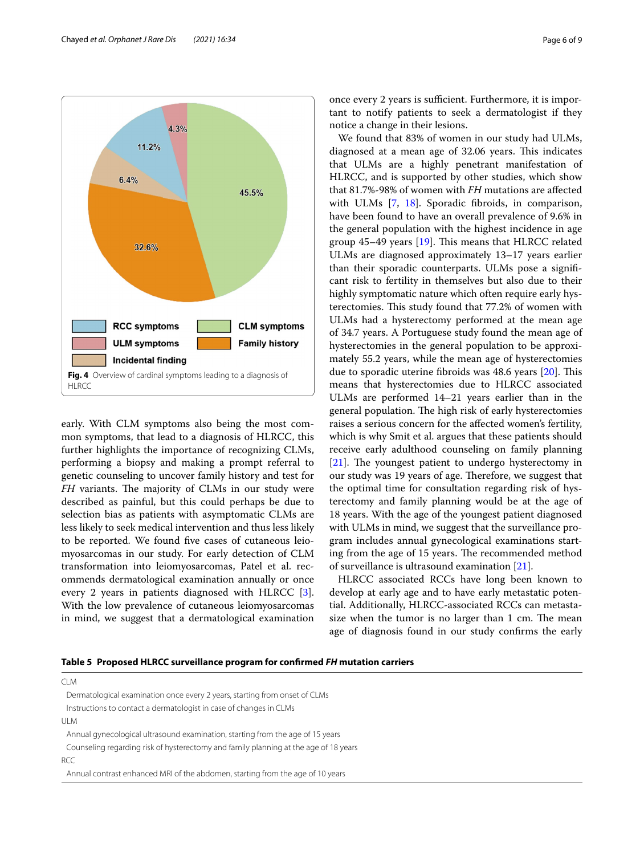

<span id="page-5-0"></span>early. With CLM symptoms also being the most common symptoms, that lead to a diagnosis of HLRCC, this further highlights the importance of recognizing CLMs, performing a biopsy and making a prompt referral to genetic counseling to uncover family history and test for *FH* variants. The majority of CLMs in our study were described as painful, but this could perhaps be due to selection bias as patients with asymptomatic CLMs are less likely to seek medical intervention and thus less likely to be reported. We found fve cases of cutaneous leiomyosarcomas in our study. For early detection of CLM transformation into leiomyosarcomas, Patel et al. recommends dermatological examination annually or once every 2 years in patients diagnosed with HLRCC [\[3](#page-7-2)]. With the low prevalence of cutaneous leiomyosarcomas in mind, we suggest that a dermatological examination once every 2 years is sufficient. Furthermore, it is important to notify patients to seek a dermatologist if they notice a change in their lesions.

We found that 83% of women in our study had ULMs, diagnosed at a mean age of 32.06 years. This indicates that ULMs are a highly penetrant manifestation of HLRCC, and is supported by other studies, which show that 81.7%-98% of women with *FH* mutations are afected with ULMs [\[7](#page-7-6), [18](#page-8-0)]. Sporadic fibroids, in comparison, have been found to have an overall prevalence of 9.6% in the general population with the highest incidence in age group  $45-49$  years [[19](#page-8-1)]. This means that HLRCC related ULMs are diagnosed approximately 13–17 years earlier than their sporadic counterparts. ULMs pose a signifcant risk to fertility in themselves but also due to their highly symptomatic nature which often require early hysterectomies. This study found that 77.2% of women with ULMs had a hysterectomy performed at the mean age of 34.7 years. A Portuguese study found the mean age of hysterectomies in the general population to be approximately 55.2 years, while the mean age of hysterectomies due to sporadic uterine fibroids was  $48.6$  years  $[20]$ . This means that hysterectomies due to HLRCC associated ULMs are performed 14–21 years earlier than in the general population. The high risk of early hysterectomies raises a serious concern for the afected women's fertility, which is why Smit et al. argues that these patients should receive early adulthood counseling on family planning  $[21]$  $[21]$ . The youngest patient to undergo hysterectomy in our study was 19 years of age. Therefore, we suggest that the optimal time for consultation regarding risk of hysterectomy and family planning would be at the age of 18 years. With the age of the youngest patient diagnosed with ULMs in mind, we suggest that the surveillance program includes annual gynecological examinations starting from the age of 15 years. The recommended method of surveillance is ultrasound examination [\[21\]](#page-8-3).

HLRCC associated RCCs have long been known to develop at early age and to have early metastatic potential. Additionally, HLRCC-associated RCCs can metastasize when the tumor is no larger than 1 cm. The mean age of diagnosis found in our study confrms the early

## <span id="page-5-1"></span>**Table 5 Proposed HLRCC surveillance program for confrmed** *FH* **mutation carriers**

CLM

Dermatological examination once every 2 years, starting from onset of CLMs Instructions to contact a dermatologist in case of changes in CLMs

ULM

Annual gynecological ultrasound examination, starting from the age of 15 years Counseling regarding risk of hysterectomy and family planning at the age of 18 years

RCC

Annual contrast enhanced MRI of the abdomen, starting from the age of 10 years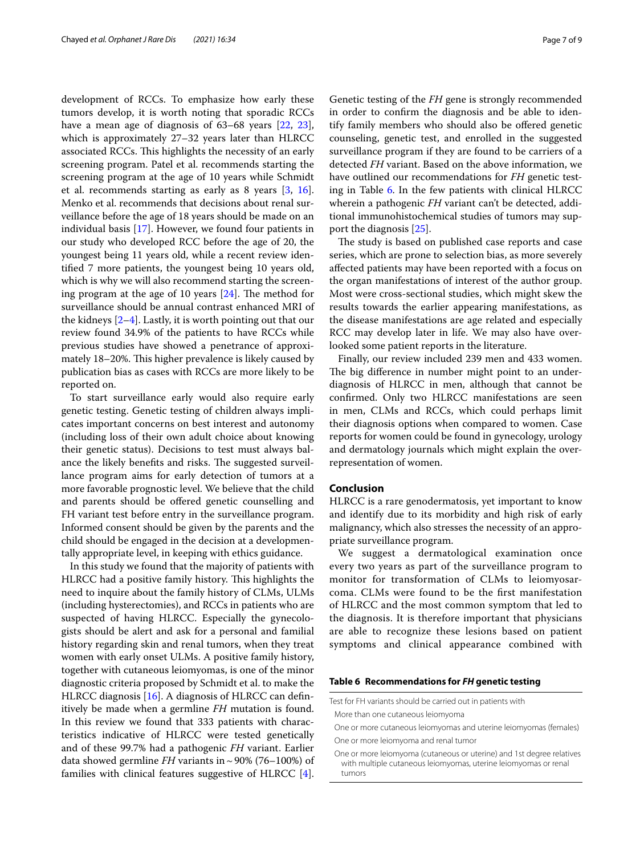development of RCCs. To emphasize how early these tumors develop, it is worth noting that sporadic RCCs have a mean age of diagnosis of 63–68 years [[22,](#page-8-4) [23](#page-8-5)], which is approximately 27–32 years later than HLRCC associated RCCs. This highlights the necessity of an early screening program. Patel et al. recommends starting the screening program at the age of 10 years while Schmidt et al. recommends starting as early as 8 years [[3,](#page-7-2) [16](#page-7-14)]. Menko et al. recommends that decisions about renal surveillance before the age of 18 years should be made on an individual basis [[17](#page-7-15)]. However, we found four patients in our study who developed RCC before the age of 20, the youngest being 11 years old, while a recent review identifed 7 more patients, the youngest being 10 years old, which is why we will also recommend starting the screening program at the age of 10 years  $[24]$  $[24]$ . The method for surveillance should be annual contrast enhanced MRI of the kidneys  $[2-4]$  $[2-4]$ . Lastly, it is worth pointing out that our review found 34.9% of the patients to have RCCs while previous studies have showed a penetrance of approximately 18–20%. This higher prevalence is likely caused by publication bias as cases with RCCs are more likely to be reported on.

To start surveillance early would also require early genetic testing. Genetic testing of children always implicates important concerns on best interest and autonomy (including loss of their own adult choice about knowing their genetic status). Decisions to test must always balance the likely benefits and risks. The suggested surveillance program aims for early detection of tumors at a more favorable prognostic level. We believe that the child and parents should be ofered genetic counselling and FH variant test before entry in the surveillance program. Informed consent should be given by the parents and the child should be engaged in the decision at a developmentally appropriate level, in keeping with ethics guidance.

In this study we found that the majority of patients with HLRCC had a positive family history. This highlights the need to inquire about the family history of CLMs, ULMs (including hysterectomies), and RCCs in patients who are suspected of having HLRCC. Especially the gynecologists should be alert and ask for a personal and familial history regarding skin and renal tumors, when they treat women with early onset ULMs. A positive family history, together with cutaneous leiomyomas, is one of the minor diagnostic criteria proposed by Schmidt et al. to make the HLRCC diagnosis [[16\]](#page-7-14). A diagnosis of HLRCC can definitively be made when a germline *FH* mutation is found. In this review we found that 333 patients with characteristics indicative of HLRCC were tested genetically and of these 99.7% had a pathogenic *FH* variant. Earlier data showed germline *FH* variants in  $\sim$  90% (76–100%) of families with clinical features suggestive of HLRCC [\[4](#page-7-3)].

Genetic testing of the *FH* gene is strongly recommended in order to confrm the diagnosis and be able to identify family members who should also be ofered genetic counseling, genetic test, and enrolled in the suggested surveillance program if they are found to be carriers of a detected *FH* variant. Based on the above information, we have outlined our recommendations for *FH* genetic testing in Table [6](#page-6-0). In the few patients with clinical HLRCC wherein a pathogenic *FH* variant can't be detected, additional immunohistochemical studies of tumors may support the diagnosis [[25\]](#page-8-7).

The study is based on published case reports and case series, which are prone to selection bias, as more severely afected patients may have been reported with a focus on the organ manifestations of interest of the author group. Most were cross-sectional studies, which might skew the results towards the earlier appearing manifestations, as the disease manifestations are age related and especially RCC may develop later in life. We may also have overlooked some patient reports in the literature.

Finally, our review included 239 men and 433 women. The big difference in number might point to an underdiagnosis of HLRCC in men, although that cannot be confrmed. Only two HLRCC manifestations are seen in men, CLMs and RCCs, which could perhaps limit their diagnosis options when compared to women. Case reports for women could be found in gynecology, urology and dermatology journals which might explain the overrepresentation of women.

## **Conclusion**

HLRCC is a rare genodermatosis, yet important to know and identify due to its morbidity and high risk of early malignancy, which also stresses the necessity of an appropriate surveillance program.

We suggest a dermatological examination once every two years as part of the surveillance program to monitor for transformation of CLMs to leiomyosarcoma. CLMs were found to be the frst manifestation of HLRCC and the most common symptom that led to the diagnosis. It is therefore important that physicians are able to recognize these lesions based on patient symptoms and clinical appearance combined with

<span id="page-6-0"></span>**Table 6 Recommendations for** *FH* **genetic testing**

| Test for FH variants should be carried out in patients with                                                                              |  |
|------------------------------------------------------------------------------------------------------------------------------------------|--|
| More than one cutaneous leiomyoma                                                                                                        |  |
| One or more cutaneous leiomyomas and uterine leiomyomas (females)                                                                        |  |
| One or more leiomyoma and renal tumor                                                                                                    |  |
| One or more leiomyoma (cutaneous or uterine) and 1st degree relatives<br>with multiple cutaneous leiomyomas, uterine leiomyomas or renal |  |

tumors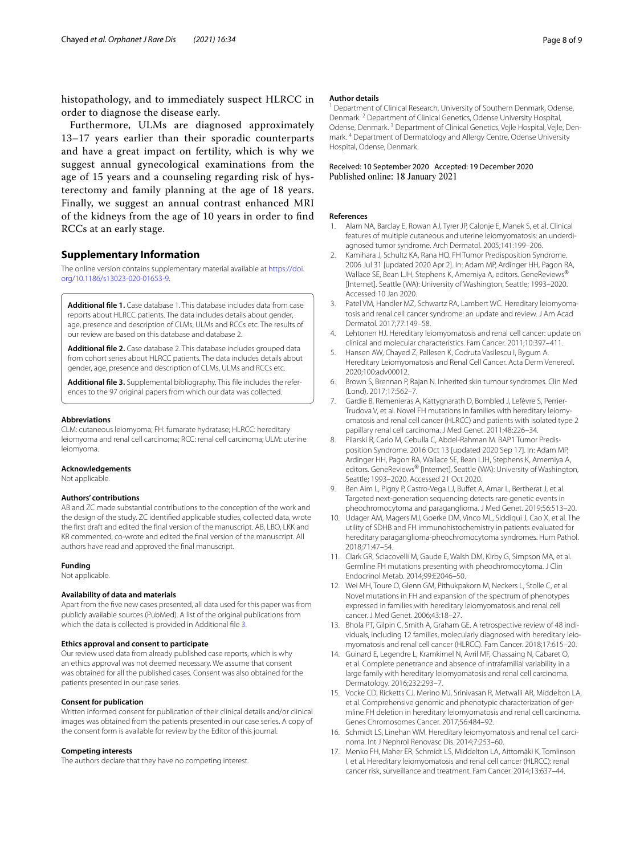histopathology, and to immediately suspect HLRCC in order to diagnose the disease early.

Furthermore, ULMs are diagnosed approximately 13–17 years earlier than their sporadic counterparts and have a great impact on fertility, which is why we suggest annual gynecological examinations from the age of 15 years and a counseling regarding risk of hysterectomy and family planning at the age of 18 years. Finally, we suggest an annual contrast enhanced MRI of the kidneys from the age of 10 years in order to fnd RCCs at an early stage.

#### **Supplementary Information**

The online version contains supplementary material available at [https://doi.](https://doi.org/10.1186/s13023-020-01653-9) [org/10.1186/s13023-020-01653-9](https://doi.org/10.1186/s13023-020-01653-9).

<span id="page-7-16"></span>**Additional fle 1.** Case database 1. This database includes data from case reports about HLRCC patients. The data includes details about gender, age, presence and description of CLMs, ULMs and RCCs etc. The results of our review are based on this database and database 2.

<span id="page-7-17"></span>**Additional fle 2.** Case database 2. This database includes grouped data from cohort series about HLRCC patients. The data includes details about gender, age, presence and description of CLMs, ULMs and RCCs etc.

<span id="page-7-18"></span>**Additional fle 3.** Supplemental bibliography. This fle includes the references to the 97 original papers from which our data was collected.

#### **Abbreviations**

CLM: cutaneous leiomyoma; FH: fumarate hydratase; HLRCC: hereditary leiomyoma and renal cell carcinoma; RCC: renal cell carcinoma; ULM: uterine leiomyoma.

#### **Acknowledgements**

Not applicable.

#### **Authors' contributions**

AB and ZC made substantial contributions to the conception of the work and the design of the study. ZC identifed applicable studies, collected data, wrote the frst draft and edited the fnal version of the manuscript. AB, LBO, LKK and KR commented, co-wrote and edited the fnal version of the manuscript. All authors have read and approved the fnal manuscript.

#### **Funding**

Not applicable.

#### **Availability of data and materials**

Apart from the fve new cases presented, all data used for this paper was from publicly available sources (PubMed). A list of the original publications from which the data is collected is provided in Additional fle [3.](#page-7-18)

#### **Ethics approval and consent to participate**

Our review used data from already published case reports, which is why an ethics approval was not deemed necessary. We assume that consent was obtained for all the published cases. Consent was also obtained for the patients presented in our case series.

#### **Consent for publication**

Written informed consent for publication of their clinical details and/or clinical images was obtained from the patients presented in our case series. A copy of the consent form is available for review by the Editor of this journal.

#### **Competing interests**

The authors declare that they have no competing interest.

#### **Author details**

<sup>1</sup> Department of Clinical Research, University of Southern Denmark, Odense, Denmark. <sup>2</sup> Department of Clinical Genetics, Odense University Hospital, Odense, Denmark. 3 Department of Clinical Genetics, Vejle Hospital, Vejle, Denmark. 4 Department of Dermatology and Allergy Centre, Odense University Hospital, Odense, Denmark.

## Received: 10 September 2020 Accepted: 19 December 2020

#### **References**

- <span id="page-7-0"></span>1. Alam NA, Barclay E, Rowan AJ, Tyrer JP, Calonje E, Manek S, et al. Clinical features of multiple cutaneous and uterine leiomyomatosis: an underdiagnosed tumor syndrome. Arch Dermatol. 2005;141:199–206.
- <span id="page-7-1"></span>2. Kamihara J, Schultz KA, Rana HQ. FH Tumor Predisposition Syndrome. 2006 Jul 31 [updated 2020 Apr 2]. In: Adam MP, Ardinger HH, Pagon RA, Wallace SE, Bean LJH, Stephens K, Amemiya A, editors. GeneReviews® [Internet]. Seattle (WA): University of Washington, Seattle; 1993–2020. Accessed 10 Jan 2020.
- <span id="page-7-2"></span>3. Patel VM, Handler MZ, Schwartz RA, Lambert WC. Hereditary leiomyomatosis and renal cell cancer syndrome: an update and review. J Am Acad Dermatol. 2017;77:149–58.
- <span id="page-7-3"></span>4. Lehtonen HJ. Hereditary leiomyomatosis and renal cell cancer: update on clinical and molecular characteristics. Fam Cancer. 2011;10:397–411.
- <span id="page-7-4"></span>5. Hansen AW, Chayed Z, Pallesen K, Codruta Vasilescu I, Bygum A. Hereditary Leiomyomatosis and Renal Cell Cancer. Acta Derm Venereol. 2020;100:adv00012.
- <span id="page-7-5"></span>6. Brown S, Brennan P, Rajan N. Inherited skin tumour syndromes. Clin Med (Lond). 2017;17:562–7.
- <span id="page-7-6"></span>7. Gardie B, Remenieras A, Kattygnarath D, Bombled J, Lefèvre S, Perrier-Trudova V, et al. Novel FH mutations in families with hereditary leiomyomatosis and renal cell cancer (HLRCC) and patients with isolated type 2 papillary renal cell carcinoma. J Med Genet. 2011;48:226–34.
- <span id="page-7-7"></span>8. Pilarski R, Carlo M, Cebulla C, Abdel-Rahman M. BAP1 Tumor Predisposition Syndrome. 2016 Oct 13 [updated 2020 Sep 17]. In: Adam MP, Ardinger HH, Pagon RA, Wallace SE, Bean LJH, Stephens K, Amemiya A, editors. GeneReviews® [Internet]. Seattle (WA): University of Washington, Seattle; 1993–2020. Accessed 21 Oct 2020.
- <span id="page-7-8"></span>9. Ben Aim L, Pigny P, Castro-Vega LJ, Buffet A, Amar L, Bertherat J, et al. Targeted next-generation sequencing detects rare genetic events in pheochromocytoma and paraganglioma. J Med Genet. 2019;56:513–20.
- 10. Udager AM, Magers MJ, Goerke DM, Vinco ML, Siddiqui J, Cao X, et al. The utility of SDHB and FH immunohistochemistry in patients evaluated for hereditary paraganglioma-pheochromocytoma syndromes. Hum Pathol. 2018;71:47–54.
- <span id="page-7-9"></span>11. Clark GR, Sciacovelli M, Gaude E, Walsh DM, Kirby G, Simpson MA, et al. Germline FH mutations presenting with pheochromocytoma. J Clin Endocrinol Metab. 2014;99:E2046–50.
- <span id="page-7-10"></span>12. Wei MH, Toure O, Glenn GM, Pithukpakorn M, Neckers L, Stolle C, et al. Novel mutations in FH and expansion of the spectrum of phenotypes expressed in families with hereditary leiomyomatosis and renal cell cancer. J Med Genet. 2006;43:18–27.
- <span id="page-7-11"></span>13. Bhola PT, Gilpin C, Smith A, Graham GE. A retrospective review of 48 individuals, including 12 families, molecularly diagnosed with hereditary leiomyomatosis and renal cell cancer (HLRCC). Fam Cancer. 2018;17:615–20.
- <span id="page-7-12"></span>14. Guinard E, Legendre L, Kramkimel N, Avril MF, Chassaing N, Cabaret O, et al. Complete penetrance and absence of intrafamilial variability in a large family with hereditary leiomyomatosis and renal cell carcinoma. Dermatology. 2016;232:293–7.
- <span id="page-7-13"></span>15. Vocke CD, Ricketts CJ, Merino MJ, Srinivasan R, Metwalli AR, Middelton LA, et al. Comprehensive genomic and phenotypic characterization of germline FH deletion in hereditary leiomyomatosis and renal cell carcinoma. Genes Chromosomes Cancer. 2017;56:484–92.
- <span id="page-7-14"></span>16. Schmidt LS, Linehan WM. Hereditary leiomyomatosis and renal cell carcinoma. Int J Nephrol Renovasc Dis. 2014;7:253–60.
- <span id="page-7-15"></span>17. Menko FH, Maher ER, Schmidt LS, Middelton LA, Aittomäki K, Tomlinson I, et al. Hereditary leiomyomatosis and renal cell cancer (HLRCC): renal cancer risk, surveillance and treatment. Fam Cancer. 2014;13:637–44.